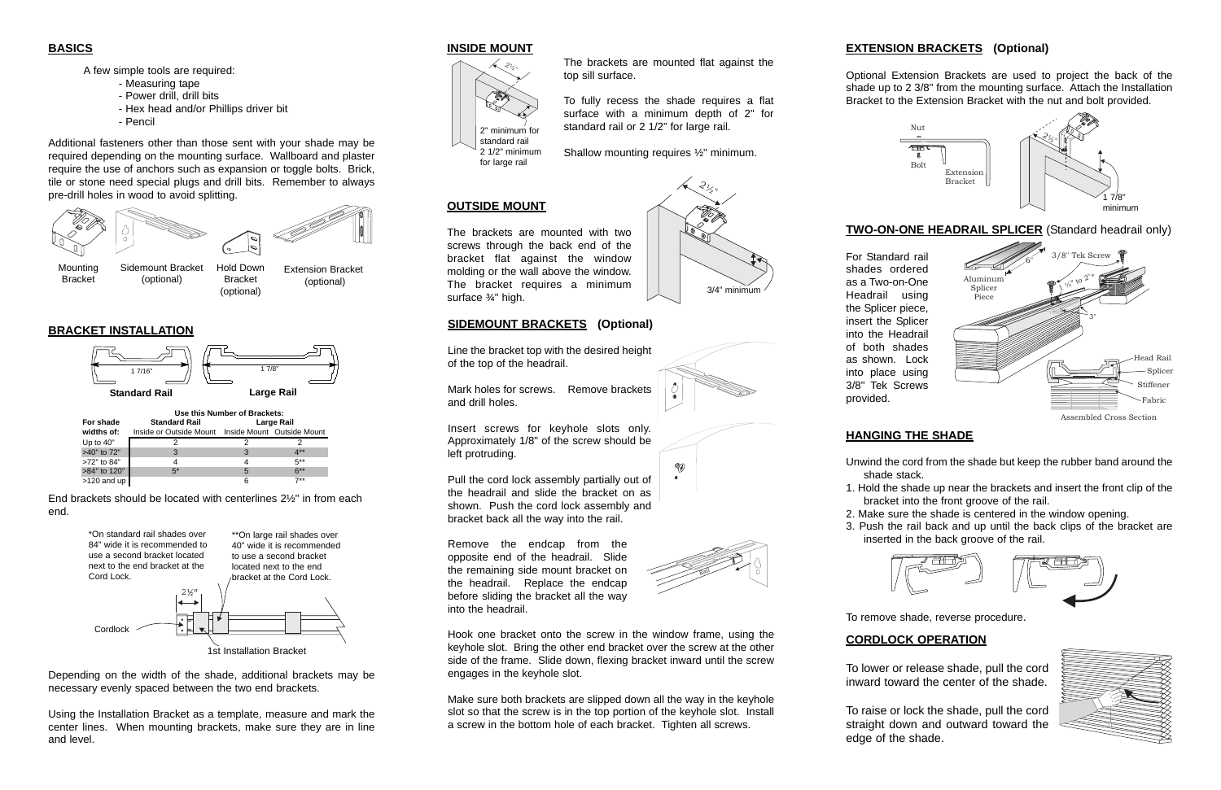### **BASICS**

A few simple tools are required:

- Measuring tape
- Power drill, drill bits
- Hex head and/or Phillips driver bit
- Pencil

Additional fasteners other than those sent with your shade may be required depending on the mounting surface. Wallboard and plaster require the use of anchors such as expansion or toggle bolts. Brick, tile or stone need special plugs and drill bits. Remember to always pre-drill holes in wood to avoid splitting.

|              | Use this Number of Brackets:                       |            |        |
|--------------|----------------------------------------------------|------------|--------|
| For shade    | <b>Standard Rail</b>                               | Large Rail |        |
| widths of:   | Inside or Outside Mount Inside Mount Outside Mount |            |        |
| Up to 40"    |                                                    |            |        |
| >40" to 72"  | 3                                                  | 3          | 4**    |
| >72" to 84"  | 4                                                  |            | $5***$ |
| >84" to 120" | $5*$                                               | 5          | $6***$ |
| >120 and up  |                                                    | 6          | $7**$  |



Depending on the width of the shade, additional brackets may be necessary evenly spaced between the two end brackets.

Using the Installation Bracket as a template, measure and mark the center lines. When mounting brackets, make sure they are in line and level.



### **BRACKET INSTALLATION**

End brackets should be located with centerlines 2½" in from each end.

### **INSIDE MOUNT**

The brackets are mounted flat against the top sill surface.

To fully recess the shade requires a flat surface with a minimum depth of 2" for standard rail or 2 1/2" for large rail.

Shallow mounting requires ½" minimum.

# $\partial_{\zeta}$ ",



Bracket



Bracket (optional)

(optional)

**OUTSIDE MOUNT**

The brackets are mounted with two screws through the back end of the bracket flat against the window molding or the wall above the window. The bracket requires a minimum

surface ¾" high.











# **EXTENSION BRACKETS (Optional)**

Optional Extension Brackets are used to project the back of the shade up to 2 3/8" from the mounting surface. Attach the Installation Bracket to the Extension Bracket with the nut and bolt provided.

# **HANGING THE SHADE**

Unwind the cord from the shade but keep the rubber band around the shade stack.

1. Hold the shade up near the brackets and insert the front clip of the bracket into the front groove of the rail.

2. Make sure the shade is centered in the window opening.

3. Push the rail back and up until the back clips of the bracket are inserted in the back groove of the rail.





To remove shade, reverse procedure.



For Standard rail shades ordered as a Two-on-One Headrail using the Splicer piece, insert the Splicer into the Headrail of both shades as shown. Lock into place using 3/8" Tek Screws provided.

- 
- 
- 
- 
- 



Assembled Cross Section

# **CORDLOCK OPERATION**

To lower or release shade, pull the cord inward toward the center of the shade.

To raise or lock the shade, pull the cord straight down and outward toward the edge of the shade.

**SIDEMOUNT BRACKETS (Optional)**

Line the bracket top with the desired height

of the top of the headrail.

Mark holes for screws. Remove brackets

and drill holes.

Insert screws for keyhole slots only. Approximately 1/8" of the screw should be

left protruding.

Pull the cord lock assembly partially out of the headrail and slide the bracket on as shown. Push the cord lock assembly and bracket back all the way into the rail.

Remove the endcap from the opposite end of the headrail. Slide the remaining side mount bracket on the headrail. Replace the endcap before sliding the bracket all the way into the headrail.

Hook one bracket onto the screw in the window frame, using the keyhole slot. Bring the other end bracket over the screw at the other side of the frame. Slide down, flexing bracket inward until the screw engages in the keyhole slot.

Make sure both brackets are slipped down all the way in the keyhole slot so that the screw is in the top portion of the keyhole slot. Install a screw in the bottom hole of each bracket. Tighten all screws.